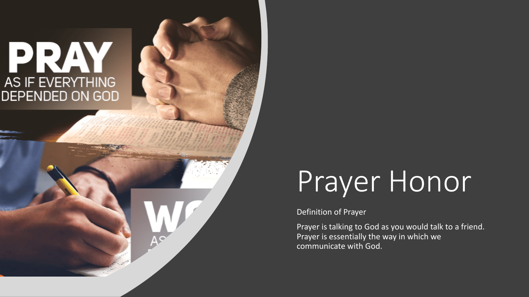# PRAY AS IF EVERYTHING **DEPENDED ON GOD**

# Prayer Honor

#### Definition of Prayer

Prayer is talking to God as you would talk to a friend. Prayer is essentially the way in which we communicate with God.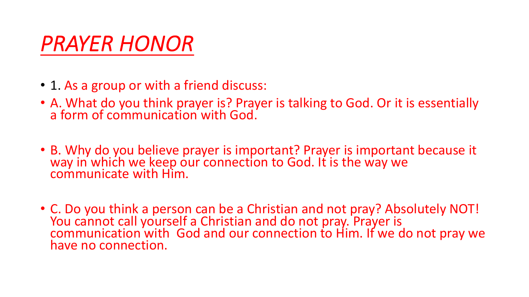# *PRAYER HONOR*

- 1. As a group or with a friend discuss:
- A. What do you think prayer is? Prayer is talking to God. Or it is essentially a form of communication with God.
- B. Why do you believe prayer is important? Prayer is important because it way in which we keep our connection to God. It is the way we communicate with Him.
- C. Do you think a person can be a Christian and not pray? Absolutely NOT! You cannot call yourself a Christian and do not pray. Prayer is communication with God and our connection to Him. If we do not pray we have no connection.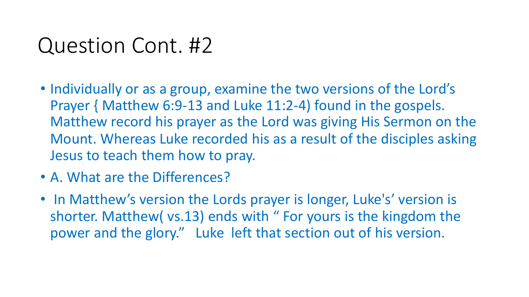# Question Cont. #2

- Individually or as a group, examine the two versions of the Lord's Prayer { Matthew 6:9-13 and Luke 11:2-4) found in the gospels. Matthew record his prayer as the Lord was giving His Sermon on the Mount. Whereas Luke recorded his as a result of the disciples asking Jesus to teach them how to pray.
- A. What are the Differences?
- In Matthew's version the Lords prayer is longer, Luke's' version is shorter. Matthew( vs.13) ends with " For yours is the kingdom the power and the glory." Luke left that section out of his version.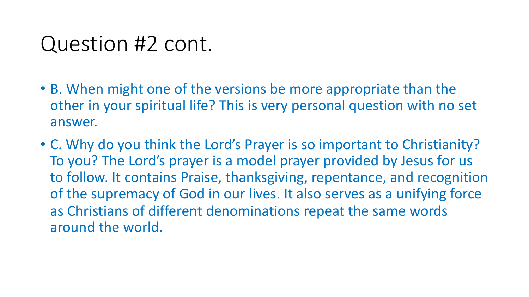# Question #2 cont.

- B. When might one of the versions be more appropriate than the other in your spiritual life? This is very personal question with no set answer.
- C. Why do you think the Lord's Prayer is so important to Christianity? To you? The Lord's prayer is a model prayer provided by Jesus for us to follow. It contains Praise, thanksgiving, repentance, and recognition of the supremacy of God in our lives. It also serves as a unifying force as Christians of different denominations repeat the same words around the world.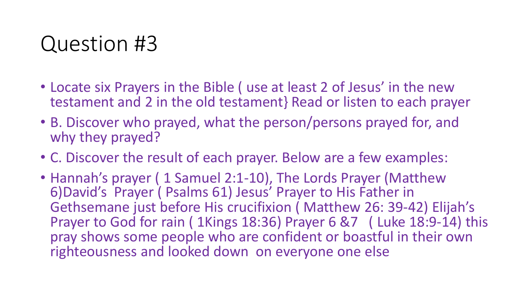# Question #3

- Locate six Prayers in the Bible ( use at least 2 of Jesus' in the new testament and 2 in the old testament} Read or listen to each prayer
- B. Discover who prayed, what the person/persons prayed for, and why they prayed?
- C. Discover the result of each prayer. Below are a few examples:
- Hannah's prayer ( 1 Samuel 2:1-10), The Lords Prayer (Matthew 6)David's Prayer ( Psalms 61) Jesus' Prayer to His Father in Gethsemane just before His crucifixion ( Matthew 26: 39-42) Elijah's Prayer to God for rain (1Kings 18:36) Prayer 6 &7 (Luke 18:9-14) this pray shows some people who are confident or boastful in their own righteousness and looked down on everyone one else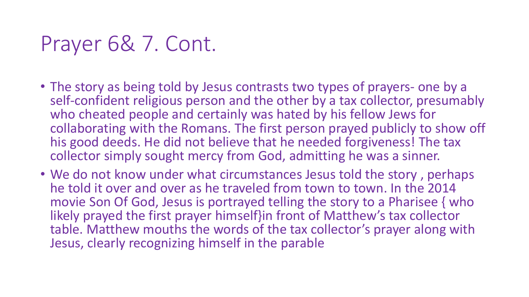# Prayer 6& 7. Cont.

- The story as being told by Jesus contrasts two types of prayers- one by a self-confident religious person and the other by a tax collector, presumably who cheated people and certainly was hated by his fellow Jews for collaborating with the Romans. The first person prayed publicly to show off his good deeds. He did not believe that he needed forgiveness! The tax collector simply sought mercy from God, admitting he was a sinner.
- We do not know under what circumstances Jesus told the story , perhaps he told it over and over as he traveled from town to town. In the 2014 movie Son Of God, Jesus is portrayed telling the story to a Pharisee { who likely prayed the first prayer himself}in front of Matthew's tax collector table. Matthew mouths the words of the tax collector's prayer along with Jesus, clearly recognizing himself in the parable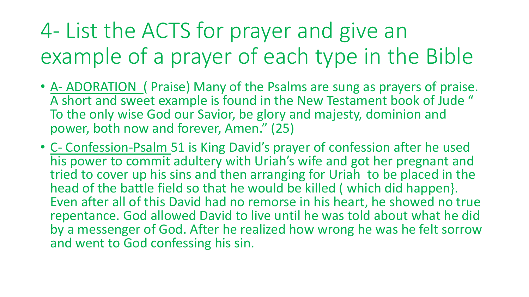# 4- List the ACTS for prayer and give an example of a prayer of each type in the Bible

- A- ADORATION ( Praise) Many of the Psalms are sung as prayers of praise. A short and sweet example is found in the New Testament book of Jude " To the only wise God our Savior, be glory and majesty, dominion and power, both now and forever, Amen." (25)
- C- Confession-Psalm 51 is King David's prayer of confession after he used his power to commit adultery with Uriah's wife and got her pregnant and tried to cover up his sins and then arranging for Uriah to be placed in the head of the battle field so that he would be killed ( which did happen}. Even after all of this David had no remorse in his heart, he showed no true repentance. God allowed David to live until he was told about what he did by a messenger of God. After he realized how wrong he was he felt sorrow and went to God confessing his sin.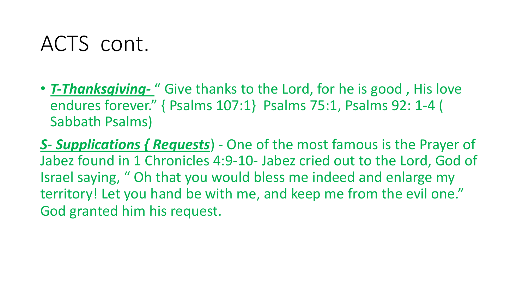# ACTS cont.

• *T-Thanksgiving-* " Give thanks to the Lord, for he is good , His love endures forever." { Psalms 107:1} Psalms 75:1, Psalms 92: 1-4 ( Sabbath Psalms)

*S- Supplications { Requests*) - One of the most famous is the Prayer of Jabez found in 1 Chronicles 4:9-10- Jabez cried out to the Lord, God of Israel saying, " Oh that you would bless me indeed and enlarge my territory! Let you hand be with me, and keep me from the evil one." God granted him his request.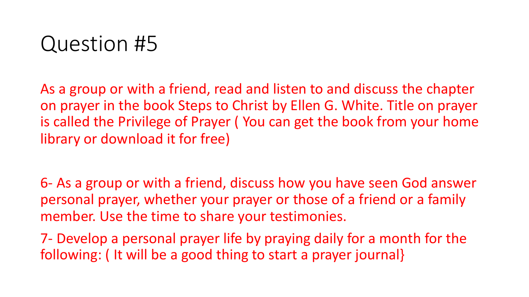# Question #5

As a group or with a friend, read and listen to and discuss the chapter on prayer in the book Steps to Christ by Ellen G. White. Title on prayer is called the Privilege of Prayer ( You can get the book from your home library or download it for free)

6- As a group or with a friend, discuss how you have seen God answer personal prayer, whether your prayer or those of a friend or a family member. Use the time to share your testimonies.

7- Develop a personal prayer life by praying daily for a month for the following: ( It will be a good thing to start a prayer journal}